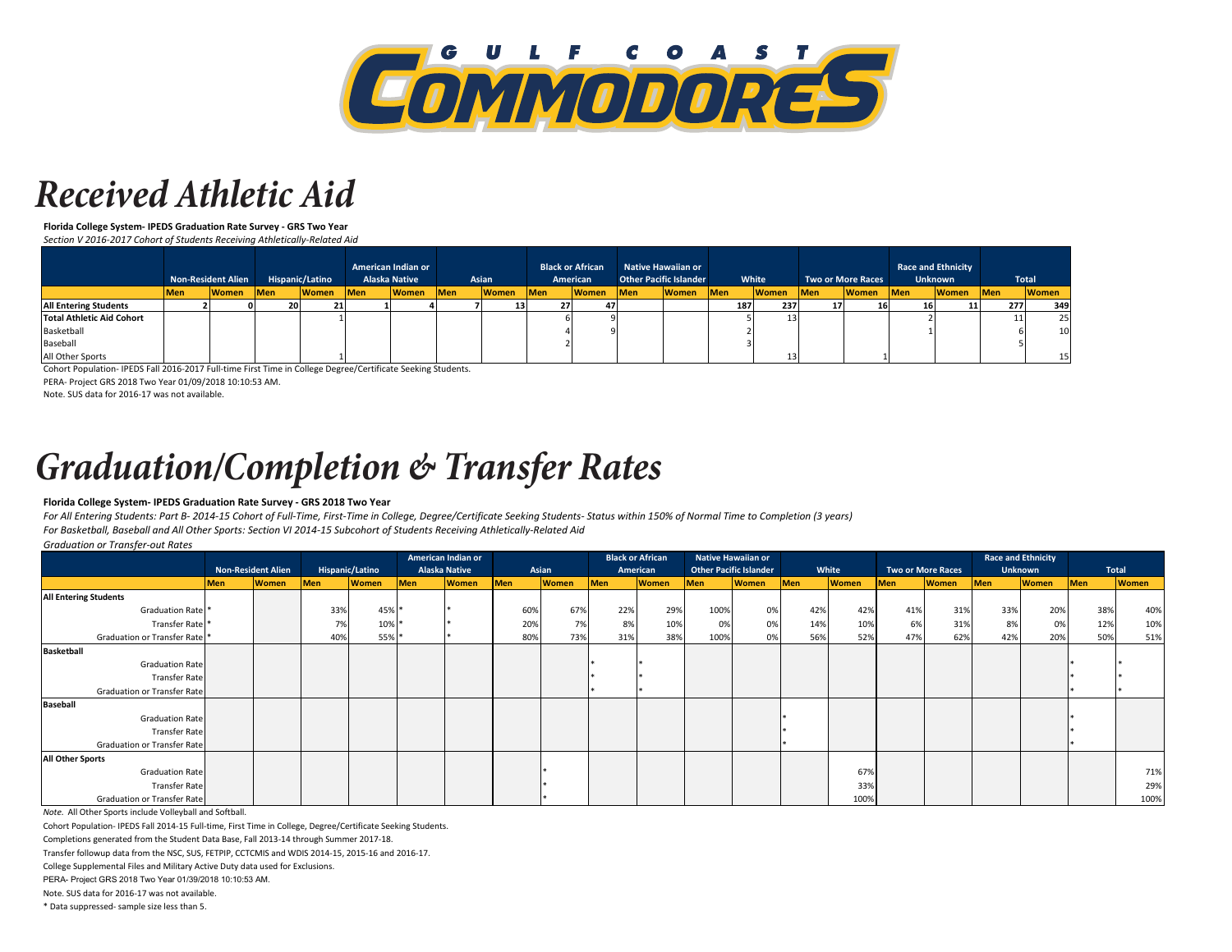

### *Received Athletic Aid*

**Florida College System- IPEDS Graduation Rate Survey - GRS Two Year**

*Section V 2016-2017 Cohort of Students Receiving Athletically-Related Aid*

|                                  |            |              |     |              |            |              |            |              | <b>Non-Resident Alien</b> |              |            |              |            | Hispanic/Latino |             | American Indian or<br><b>Alaska Native</b> |     | Asian        |            | <b>Black or African</b><br>American |  | <b>Native Hawaiian or</b><br><b>Other Pacific Islander</b> |  | White |  | <b>Two or More Races</b> |  | <b>Race and Ethnicity</b><br><b>Unknown</b> |  | Total |
|----------------------------------|------------|--------------|-----|--------------|------------|--------------|------------|--------------|---------------------------|--------------|------------|--------------|------------|-----------------|-------------|--------------------------------------------|-----|--------------|------------|-------------------------------------|--|------------------------------------------------------------|--|-------|--|--------------------------|--|---------------------------------------------|--|-------|
|                                  | <b>Men</b> | <b>Women</b> | Men | <b>Women</b> | <b>Men</b> | <b>Women</b> | <b>Men</b> | <b>Women</b> | <b>Men</b>                | <b>Women</b> | <b>Men</b> | <b>Women</b> | <b>Men</b> | <b>Women</b>    | <b>IMen</b> | <b>Women</b>                               | Men | <b>Women</b> | <b>Men</b> | <b>Women</b>                        |  |                                                            |  |       |  |                          |  |                                             |  |       |
| <b>All Entering Students</b>     |            |              | 20  | 21           |            |              |            | ᆠ            |                           |              |            |              | 187        | 237             |             |                                            |     |              | 277        | 349                                 |  |                                                            |  |       |  |                          |  |                                             |  |       |
| <b>Total Athletic Aid Cohort</b> |            |              |     |              |            |              |            |              |                           |              |            |              |            |                 |             |                                            |     |              |            | 25                                  |  |                                                            |  |       |  |                          |  |                                             |  |       |
| Basketball                       |            |              |     |              |            |              |            |              |                           |              |            |              |            |                 |             |                                            |     |              |            | 10                                  |  |                                                            |  |       |  |                          |  |                                             |  |       |
| Baseball                         |            |              |     |              |            |              |            |              |                           |              |            |              |            |                 |             |                                            |     |              |            |                                     |  |                                                            |  |       |  |                          |  |                                             |  |       |
| All Other Sports                 |            |              |     |              |            |              |            |              |                           |              |            |              |            |                 |             |                                            |     |              |            | 15 <sup>1</sup>                     |  |                                                            |  |       |  |                          |  |                                             |  |       |

 $\mathcal{L}(\mathcal{L})$ Cohort Population- IPEDS Fall 2016-2017 Full-time First Time in College Degree/Certificate Seeking Students.

PERA- Project GRS 2018 Two Year 01/09/2018 10:10:53 AM.

Note. SUS data for 2016-17 was not available.

## *Graduation/Completion & Transfer Rates*

#### **Florida College System- IPEDS Graduation Rate Survey - GRS 2018 Two Year**

*For All Entering Students: Part B- 2014-15 Cohort of Full-Time, First-Time in College, Degree/Certificate Seeking Students- Status within 150% of Normal Time to Completion (3 years) For Basketball, Baseball and All Other Sports: Section VI 2014-15 Subcohort of Students Receiving Athletically-Related Aid*

#### *Graduation or Transfer-out Rates*

|                                    | <b>Non-Resident Alien</b> |              |                 |              | American Indian or   |              |       |              |            | <b>Black or African</b> |                               | <b>Native Hawaiian or</b> |            |              |                          |              |                |              | <b>Race and Ethnicity</b> |              |  |
|------------------------------------|---------------------------|--------------|-----------------|--------------|----------------------|--------------|-------|--------------|------------|-------------------------|-------------------------------|---------------------------|------------|--------------|--------------------------|--------------|----------------|--------------|---------------------------|--------------|--|
|                                    |                           |              | Hispanic/Latino |              | <b>Alaska Native</b> |              | Asian |              | American   |                         | <b>Other Pacific Islander</b> |                           | White      |              | <b>Two or More Races</b> |              | <b>Unknown</b> |              |                           | Total        |  |
|                                    | <b>Men</b>                | <b>Women</b> | <b>Men</b>      | <b>Women</b> | <b>Men</b>           | <b>Women</b> | Men   | <b>Women</b> | <b>Men</b> | <b>Women</b>            | <b>Men</b>                    | <b>Women</b>              | <b>Men</b> | <b>Women</b> | <b>Men</b>               | <b>Women</b> | Men            | <b>Women</b> | <b>Men</b>                | <b>Women</b> |  |
| <b>All Entering Students</b>       |                           |              |                 |              |                      |              |       |              |            |                         |                               |                           |            |              |                          |              |                |              |                           |              |  |
| Graduation Rate <sup>*</sup>       |                           |              | 33%             | 45% *        |                      |              | 60%   | 67%          | 22%        | 29%                     | 100%                          | 0%                        | 42%        | 42%          | 41%                      | 31%          | 33%            | 20%          | 38%                       | 40%          |  |
| Transfer Rate                      |                           |              | 7%              | 10% *        |                      |              | 20%   | 7%           | 8%         | 10%                     | 0%                            | 0%                        | 14%        | 10%          | 6%                       | 31%          | 8%             | 0%           | 12%                       | 10%          |  |
| Graduation or Transfer Rate        |                           |              | 40%             | 55% *        |                      |              | 80%   | 73%          | 31%        | 38%                     | 100%                          | 0%                        | 56%        | 52%          | 47%                      | 62%          | 42%            | 20%          | 50%                       | 51%          |  |
| <b>Basketball</b>                  |                           |              |                 |              |                      |              |       |              |            |                         |                               |                           |            |              |                          |              |                |              |                           |              |  |
| <b>Graduation Rate</b>             |                           |              |                 |              |                      |              |       |              |            |                         |                               |                           |            |              |                          |              |                |              |                           |              |  |
| <b>Transfer Rate</b>               |                           |              |                 |              |                      |              |       |              |            |                         |                               |                           |            |              |                          |              |                |              |                           |              |  |
| <b>Graduation or Transfer Rate</b> |                           |              |                 |              |                      |              |       |              |            |                         |                               |                           |            |              |                          |              |                |              |                           |              |  |
| <b>Baseball</b>                    |                           |              |                 |              |                      |              |       |              |            |                         |                               |                           |            |              |                          |              |                |              |                           |              |  |
| <b>Graduation Rate</b>             |                           |              |                 |              |                      |              |       |              |            |                         |                               |                           |            |              |                          |              |                |              |                           |              |  |
| <b>Transfer Rate</b>               |                           |              |                 |              |                      |              |       |              |            |                         |                               |                           |            |              |                          |              |                |              |                           |              |  |
| Graduation or Transfer Rate        |                           |              |                 |              |                      |              |       |              |            |                         |                               |                           |            |              |                          |              |                |              |                           |              |  |
| <b>All Other Sports</b>            |                           |              |                 |              |                      |              |       |              |            |                         |                               |                           |            |              |                          |              |                |              |                           |              |  |
| <b>Graduation Rate</b>             |                           |              |                 |              |                      |              |       |              |            |                         |                               |                           |            | 67%          |                          |              |                |              |                           | 71%          |  |
| <b>Transfer Rate</b>               |                           |              |                 |              |                      |              |       |              |            |                         |                               |                           |            | 33%          |                          |              |                |              |                           | 29%          |  |
| Graduation or Transfer Rate        |                           |              |                 |              |                      |              |       |              |            |                         |                               |                           |            | 100%         |                          |              |                |              |                           | 100%         |  |

*Note.* All Other Sports include Volleyball and Softball.

Cohort Population- IPEDS Fall 2014-15 Full-time, First Time in College, Degree/Certificate Seeking Students.

Completions generated from the Student Data Base, Fall 2013-14 through Summer 2017-18.

Transfer followup data from the NSC, SUS, FETPIP, CCTCMIS and WDIS 2014-15, 2015-16 and 2016-17.

College Supplemental Files and Military Active Duty data used for Exclusions.

PERA- Project GRS 2018 Two Year 01/39/2018 10:10:53 AM.

Note. SUS data for 2016-17 was not available.

\* Data suppressed- sample size less than 5.